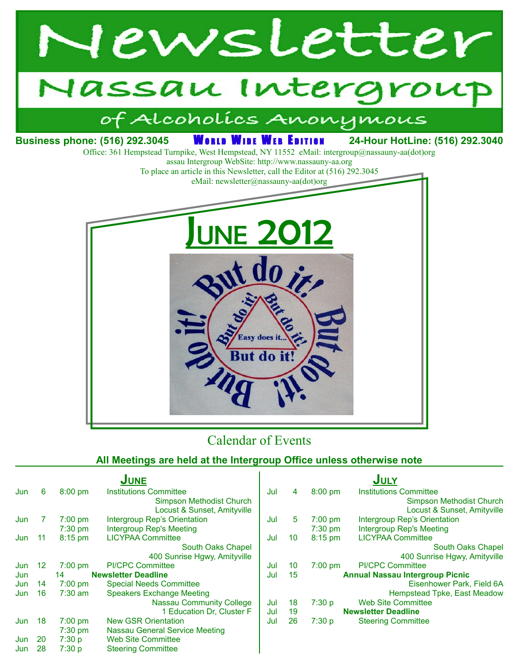



## Calendar of Events

#### **All Meetings are held at the Intergroup Office unless otherwise note**

|     |                                  |                   | <b>JUNE</b>                           |     |    |                                        | <b>JULY</b>                   |
|-----|----------------------------------|-------------------|---------------------------------------|-----|----|----------------------------------------|-------------------------------|
| Jun | 6                                | $8:00$ pm         | <b>Institutions Committee</b>         | Jul | 4  | $8:00$ pm                              | <b>Institutions Committee</b> |
|     |                                  |                   | <b>Simpson Methodist Church</b>       |     |    |                                        | Simpson Methodist Church      |
|     |                                  |                   | Locust & Sunset, Amityville           |     |    |                                        | Locust & Sunset, Amityville   |
| Jun |                                  | $7:00 \text{ pm}$ | Intergroup Rep's Orientation          | Jul | 5  | $7:00$ pm                              | Intergroup Rep's Orientation  |
|     |                                  | $7:30$ pm         | Intergroup Rep's Meeting              |     |    | $7:30$ pm                              | Intergroup Rep's Meeting      |
| Jun | -11                              | $8:15$ pm         | <b>LICYPAA Committee</b>              | Jul | 10 | $8:15$ pm                              | <b>LICYPAA Committee</b>      |
|     |                                  |                   | South Oaks Chapel                     |     |    |                                        | South Oaks Chapel             |
|     |                                  |                   | 400 Sunrise Hgwy, Amityville          |     |    |                                        | 400 Sunrise Hgwy, Amityville  |
| Jun | 12                               | $7:00 \text{ pm}$ | <b>PI/CPC Committee</b>               | Jul | 10 | $7:00$ pm                              | <b>PI/CPC Committee</b>       |
| Jun | <b>Newsletter Deadline</b><br>14 |                   | Jul                                   | 15  |    | <b>Annual Nassau Intergroup Picnic</b> |                               |
| Jun | 14                               | $7:00 \text{ pm}$ | <b>Special Needs Committee</b>        |     |    |                                        | Eisenhower Park, Field 6A     |
| Jun | 16                               | $7:30$ am         | <b>Speakers Exchange Meeting</b>      |     |    |                                        | Hempstead Tpke, East Meadow   |
|     |                                  |                   | <b>Nassau Community College</b>       | Jul | 18 | 7:30 p                                 | <b>Web Site Committee</b>     |
|     |                                  |                   | 1 Education Dr, Cluster F             | Jul | 19 |                                        | <b>Newsletter Deadline</b>    |
| Jun | 18                               | $7:00 \text{ pm}$ | <b>New GSR Orientation</b>            | Jul | 26 | 7:30 p                                 | <b>Steering Committee</b>     |
|     |                                  | $7:30$ pm         | <b>Nassau General Service Meeting</b> |     |    |                                        |                               |
| Jun | 20                               | 7:30 p            | <b>Web Site Committee</b>             |     |    |                                        |                               |
| Jun | 28                               | 7:30 p            | <b>Steering Committee</b>             |     |    |                                        |                               |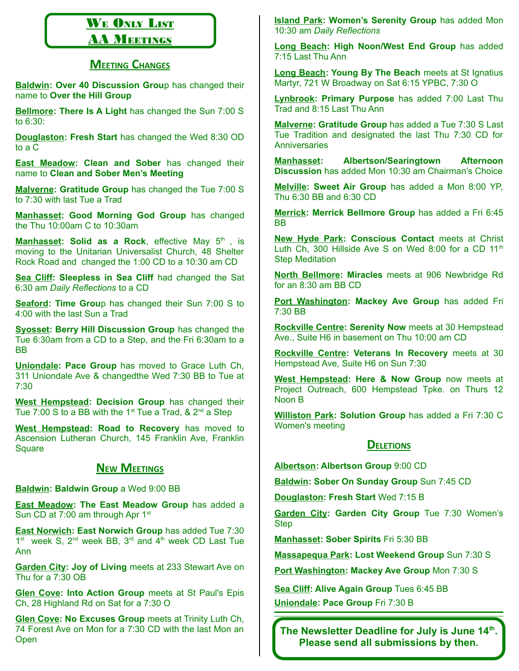# WE ONLY LIST

### **AA MEETINGS**

#### **MEETING CHANGES**

**Baldwin: Over 40 Discussion Grou**p has changed their name to **Over the Hill Group**

**Bellmore: There Is A Light** has changed the Sun 7:00 S to 6:30:

**Douglaston: Fresh Start** has changed the Wed 8:30 OD to a C

**East Meadow: Clean and Sober** has changed their name to **Clean and Sober Men's Meeting**

**Malverne: Gratitude Group** has changed the Tue 7:00 S to 7:30 with last Tue a Trad

**Manhasset: Good Morning God Group** has changed the Thu 10:00am C to 10:30am

**Manhasset: Solid as a Rock**, effective May 5<sup>th</sup>, is moving to the Unitarian Universalist Church, 48 Shelter Rock Road and changed the 1:00 CD to a 10:30 am CD

**Sea Cliff: Sleepless in Sea Cliff** had changed the Sat 6:30 am *Daily Reflections* to a CD

**Seaford: Time Grou**p has changed their Sun 7:00 S to 4:00 with the last Sun a Trad

**Syosset: Berry Hill Discussion Group** has changed the Tue 6:30am from a CD to a Step, and the Fri 6:30am to a BB

**Uniondale: Pace Group** has moved to Grace Luth Ch, 311 Uniondale Ave & changedthe Wed 7:30 BB to Tue at 7:30

**West Hempstead: Decision Group** has changed their Tue 7:00 S to a BB with the  $1<sup>st</sup>$  Tue a Trad, &  $2<sup>nd</sup>$  a Step

**West Hempstead: Road to Recovery** has moved to Ascension Lutheran Church, 145 Franklin Ave, Franklin **Square** 

#### **NEW MEETINGS**

**Baldwin: Baldwin Group** a Wed 9:00 BB

**East Meadow: The East Meadow Group** has added a Sun CD at 7:00 am through Apr 1<sup>st</sup>

**East Norwich: East Norwich Group** has added Tue 7:30  $1<sup>st</sup>$  week S,  $2<sup>nd</sup>$  week BB,  $3<sup>rd</sup>$  and  $4<sup>th</sup>$  week CD Last Tue Ann

**Garden City: Joy of Living** meets at 233 Stewart Ave on Thu for a 7:30 OB

**Glen Cove: Into Action Group** meets at St Paul's Epis Ch, 28 Highland Rd on Sat for a 7:30 O

**Glen Cove: No Excuses Group** meets at Trinity Luth Ch, 74 Forest Ave on Mon for a 7:30 CD with the last Mon an **Open** 

**Island Park: Women's Serenity Group** has added Mon 10:30 am *Daily Reflections*

**Long Beach: High Noon/West End Group** has added 7:15 Last Thu Ann

**Long Beach: Young By The Beach** meets at St Ignatius Martyr, 721 W Broadway on Sat 6:15 YPBC, 7:30 O

**Lynbrook: Primary Purpose** has added 7:00 Last Thu Trad and 8:15 Last Thu Ann

**Malverne: Gratitude Group** has added a Tue 7:30 S Last Tue Tradition and designated the last Thu 7:30 CD for **Anniversaries** 

**Manhasset: Albertson/Searingtown Afternoon Discussion** has added Mon 10:30 am Chairman's Choice

**Melville: Sweet Air Group** has added a Mon 8:00 YP, Thu 6:30 BB and 6:30 CD

**Merrick: Merrick Bellmore Group** has added a Fri 6:45 BB

**New Hyde Park: Conscious Contact** meets at Christ Luth Ch, 300 Hillside Ave S on Wed 8:00 for a CD 11<sup>th</sup> Step Meditation

**North Bellmore: Miracles** meets at 906 Newbridge Rd for an 8:30 am BB CD

**Port Washington: Mackey Ave Group** has added Fri 7:30 BB

**Rockville Centre: Serenity Now** meets at 30 Hempstead Ave., Suite H6 in basement on Thu 10:00 am CD

**Rockville Centre: Veterans In Recovery** meets at 30 Hempstead Ave, Suite H6 on Sun 7:30

**West Hempstead: Here & Now Group** now meets at Project Outreach, 600 Hempstead Tpke. on Thurs 12 Noon B

**Williston Park: Solution Group** has added a Fri 7:30 C Women's meeting

#### **DELETIONS**

**Albertson: Albertson Group** 9:00 CD

**Baldwin: Sober On Sunday Group** Sun 7:45 CD

**Douglaston: Fresh Start** Wed 7:15 B

**Garden City: Garden City Group** Tue 7:30 Women's Step

**Manhasset: Sober Spirits** Fri 5:30 BB

**Massapequa Park: Lost Weekend Group** Sun 7:30 S

**Port Washington: Mackey Ave Group** Mon 7:30 S

**Sea Cliff: Alive Again Group** Tues 6:45 BB **Uniondale: Pace Group** Fri 7:30 B

**The Newsletter Deadline for July is June 14th . Please send all submissions by then.**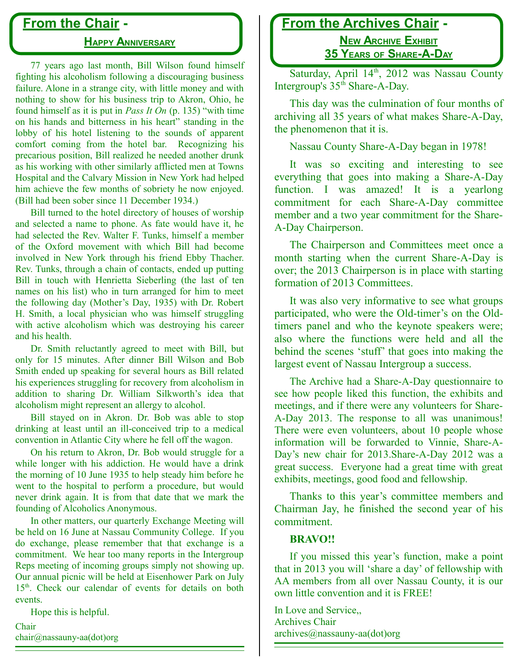### **From the Chair -**

#### **HAPPY ANNIVERSARY**

77 years ago last month, Bill Wilson found himself fighting his alcoholism following a discouraging business failure. Alone in a strange city, with little money and with nothing to show for his business trip to Akron, Ohio, he found himself as it is put in *Pass It On* (p. 135) "with time on his hands and bitterness in his heart" standing in the lobby of his hotel listening to the sounds of apparent comfort coming from the hotel bar. Recognizing his precarious position, Bill realized he needed another drunk as his working with other similarly afflicted men at Towns Hospital and the Calvary Mission in New York had helped him achieve the few months of sobriety he now enjoyed. (Bill had been sober since 11 December 1934.)

Bill turned to the hotel directory of houses of worship and selected a name to phone. As fate would have it, he had selected the Rev. Walter F. Tunks, himself a member of the Oxford movement with which Bill had become involved in New York through his friend Ebby Thacher. Rev. Tunks, through a chain of contacts, ended up putting Bill in touch with Henrietta Sieberling (the last of ten names on his list) who in turn arranged for him to meet the following day (Mother's Day, 1935) with Dr. Robert H. Smith, a local physician who was himself struggling with active alcoholism which was destroying his career and his health.

Dr. Smith reluctantly agreed to meet with Bill, but only for 15 minutes. After dinner Bill Wilson and Bob Smith ended up speaking for several hours as Bill related his experiences struggling for recovery from alcoholism in addition to sharing Dr. William Silkworth's idea that alcoholism might represent an allergy to alcohol.

Bill stayed on in Akron. Dr. Bob was able to stop drinking at least until an ill-conceived trip to a medical convention in Atlantic City where he fell off the wagon.

On his return to Akron, Dr. Bob would struggle for a while longer with his addiction. He would have a drink the morning of 10 June 1935 to help steady him before he went to the hospital to perform a procedure, but would never drink again. It is from that date that we mark the founding of Alcoholics Anonymous.

In other matters, our quarterly Exchange Meeting will be held on 16 June at Nassau Community College. If you do exchange, please remember that that exchange is a commitment. We hear too many reports in the Intergroup Reps meeting of incoming groups simply not showing up. Our annual picnic will be held at Eisenhower Park on July 15<sup>th</sup>. Check our calendar of events for details on both events.

Hope this is helpful.

Chair chair@nassauny-aa(dot)org

### **From the Archives Chair -**

 **NEW ARCHIVE EXHIBIT 35 YEARS OF SHARE-A-DAY**

Saturday, April 14<sup>th</sup>, 2012 was Nassau County Intergroup's 35<sup>th</sup> Share-A-Day.

This day was the culmination of four months of archiving all 35 years of what makes Share-A-Day, the phenomenon that it is.

Nassau County Share-A-Day began in 1978!

It was so exciting and interesting to see everything that goes into making a Share-A-Day function. I was amazed! It is a yearlong commitment for each Share-A-Day committee member and a two year commitment for the Share-A-Day Chairperson.

The Chairperson and Committees meet once a month starting when the current Share-A-Day is over; the 2013 Chairperson is in place with starting formation of 2013 Committees.

It was also very informative to see what groups participated, who were the Old-timer's on the Oldtimers panel and who the keynote speakers were; also where the functions were held and all the behind the scenes 'stuff' that goes into making the largest event of Nassau Intergroup a success.

The Archive had a Share-A-Day questionnaire to see how people liked this function, the exhibits and meetings, and if there were any volunteers for Share-A-Day 2013. The response to all was unanimous! There were even volunteers, about 10 people whose information will be forwarded to Vinnie, Share-A-Day's new chair for 2013.Share-A-Day 2012 was a great success. Everyone had a great time with great exhibits, meetings, good food and fellowship.

Thanks to this year's committee members and Chairman Jay, he finished the second year of his commitment.

#### **BRAVO!!**

If you missed this year's function, make a point that in 2013 you will 'share a day' of fellowship with AA members from all over Nassau County, it is our own little convention and it is FREE!

In Love and Service,, Archives Chair archives@nassauny-aa(dot)org